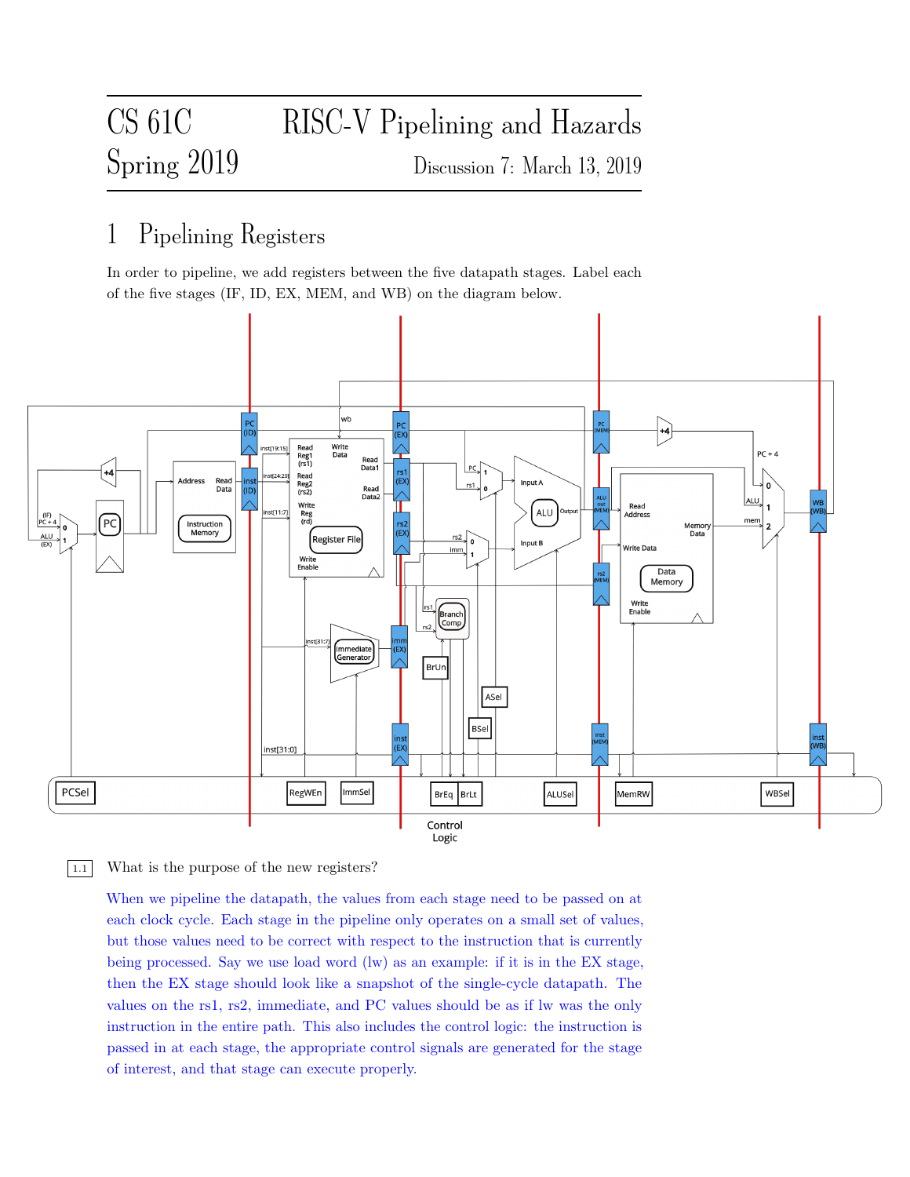# CS 61C RISC-V Pipelining and Hazards Spring 2019 Discussion 7: March 13, 2019

## 1 Pipelining Registers

In order to pipeline, we add registers between the five datapath stages. Label each of the five stages (IF, ID, EX, MEM, and WB) on the diagram below.



1.1 What is the purpose of the new registers?

When we pipeline the datapath, the values from each stage need to be passed on at each clock cycle. Each stage in the pipeline only operates on a small set of values, but those values need to be correct with respect to the instruction that is currently being processed. Say we use load word (lw) as an example: if it is in the EX stage, then the EX stage should look like a snapshot of the single-cycle datapath. The values on the rs1, rs2, immediate, and PC values should be as if lw was the only instruction in the entire path. This also includes the control logic: the instruction is passed in at each stage, the appropriate control signals are generated for the stage of interest, and that stage can execute properly.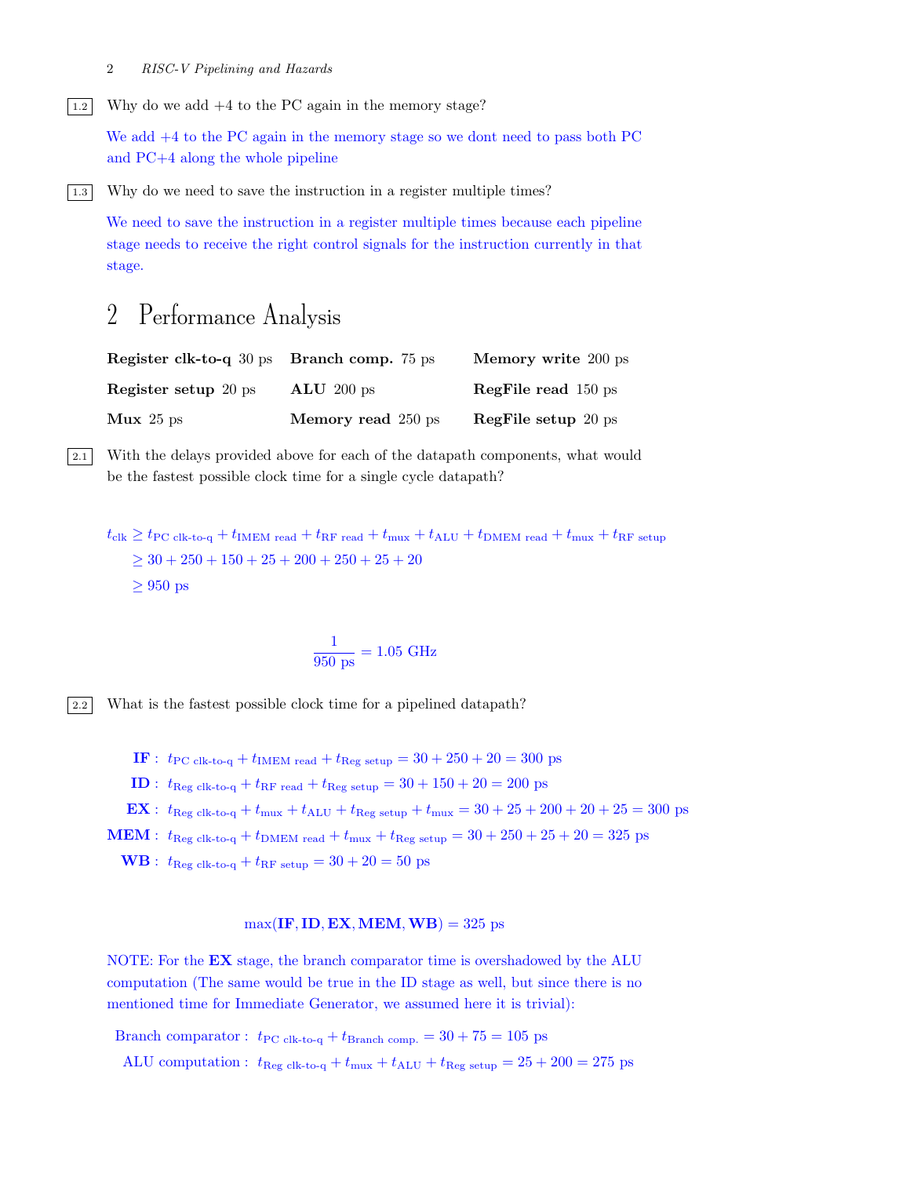#### 2 RISC-V Pipelining and Hazards

 $\boxed{1.2}$  Why do we add  $+4$  to the PC again in the memory stage?

We add +4 to the PC again in the memory stage so we dont need to pass both PC and PC+4 along the whole pipeline

|1.3 Why do we need to save the instruction in a register multiple times?

We need to save the instruction in a register multiple times because each pipeline stage needs to receive the right control signals for the instruction currently in that stage.

## 2 Performance Analysis

| <b>Register clk-to-q</b> 30 ps <b>Branch comp.</b> 75 ps |                    | Memory write 200 ps        |
|----------------------------------------------------------|--------------------|----------------------------|
| <b>Register setup</b> 20 ps                              | $ALU$ 200 ps       | <b>RegFile read</b> 150 ps |
| $Mux$ 25 ps                                              | Memory read 250 ps | <b>RegFile setup</b> 20 ps |

2.1 With the delays provided above for each of the datapath components, what would be the fastest possible clock time for a single cycle datapath?

 $t_{\rm{clk}} \geq t_{\rm{PC \,clk-to-q}} + t_{\rm{IMEM \, read}} + t_{\rm{RF \, read}} + t_{\rm{mux}} + t_{\rm{ALU}} + t_{\rm{DMEM \, read}} + t_{\rm{mux}} + t_{\rm{RF \, setup}}$  $>$  30 + 250 + 150 + 25 + 200 + 250 + 25 + 20  $\geq 950$  ps

$$
\frac{1}{950 \text{ ps}} = 1.05 \text{ GHz}
$$

2.2 What is the fastest possible clock time for a pipelined datapath?

IF :  $t_{\text{PC clk-to-q}} + t_{\text{IMEM read}} + t_{\text{Reg setup}} = 30 + 250 + 20 = 300 \text{ ps}$ 

**ID** :  $t_{\text{Reg clk-to-q}} + t_{\text{RF read}} + t_{\text{Reg setup}} = 30 + 150 + 20 = 200 \text{ ps}$ 

EX :  $t_{\text{Reg clk-to-q}} + t_{\text{mux}} + t_{\text{ALU}} + t_{\text{Reg setup}} + t_{\text{mux}} = 30 + 25 + 200 + 20 + 25 = 300 \text{ ps}$ 

MEM :  $t_{\text{Reg clk-to-q}} + t_{\text{DMEM read}} + t_{\text{mux}} + t_{\text{Reg setup}} = 30 + 250 + 25 + 20 = 325 \text{ ps}$ 

 $\text{WB}: t_{\text{Reg clk-to-q}} + t_{\text{RF setup}} = 30 + 20 = 50 \text{ ps}$ 

#### $max(\text{IF}, \text{ID}, \text{EX}, \text{MEM}, \text{WB}) = 325 \text{ ps}$

NOTE: For the EX stage, the branch comparator time is overshadowed by the ALU computation (The same would be true in the ID stage as well, but since there is no mentioned time for Immediate Generator, we assumed here it is trivial):

Branch comparator :  $t_{\text{PC clk-to-q}} + t_{\text{Branch comp.}} = 30 + 75 = 105 \text{ ps}$ 

ALU computation :  $t_{\text{Reg clk-to-q}} + t_{\text{mux}} + t_{\text{ALU}} + t_{\text{Reg setup}} = 25 + 200 = 275 \text{ ps}$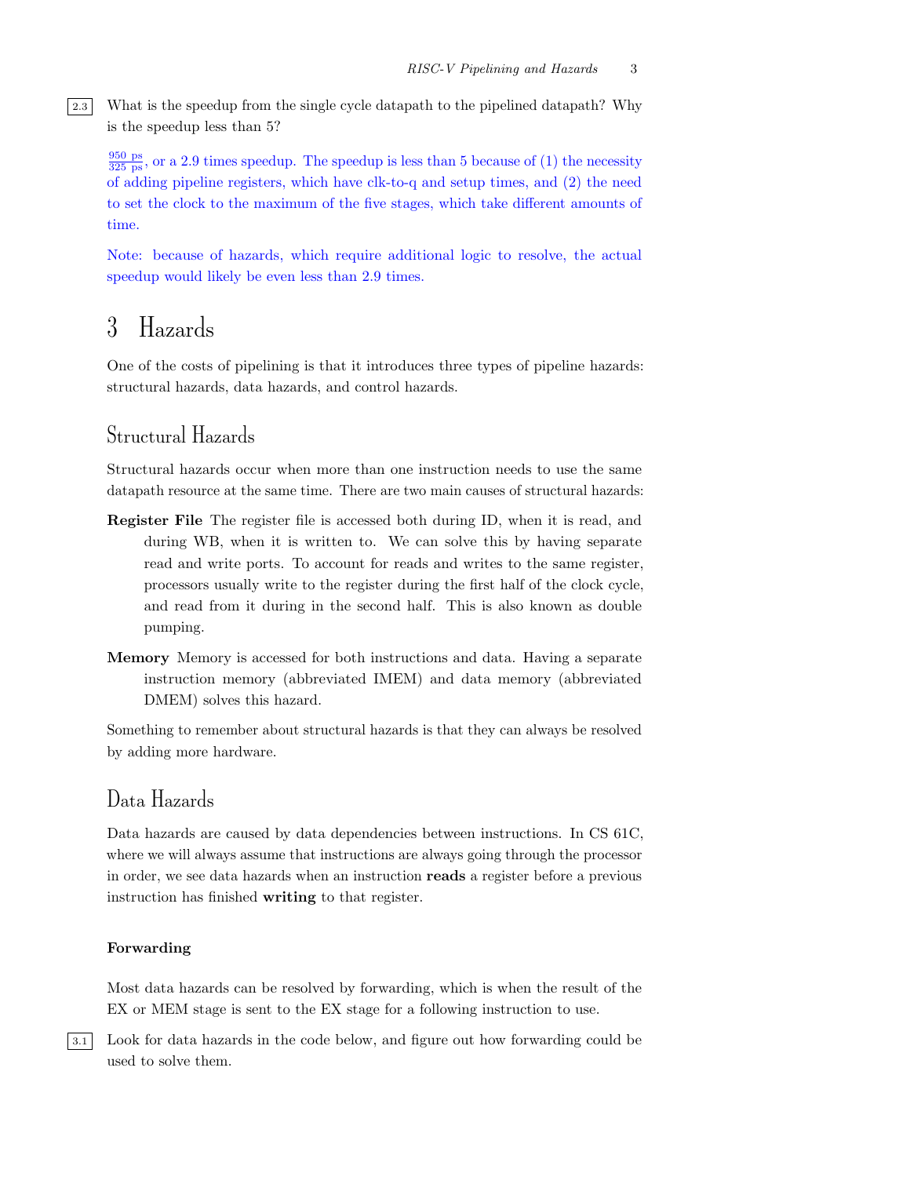2.3 What is the speedup from the single cycle datapath to the pipelined datapath? Why is the speedup less than 5?

 $\frac{950 \text{ ps}}{325 \text{ ps}}$ , or a 2.9 times speedup. The speedup is less than 5 because of (1) the necessity of adding pipeline registers, which have clk-to-q and setup times, and (2) the need to set the clock to the maximum of the five stages, which take different amounts of time.

Note: because of hazards, which require additional logic to resolve, the actual speedup would likely be even less than 2.9 times.

## 3 Hazards

One of the costs of pipelining is that it introduces three types of pipeline hazards: structural hazards, data hazards, and control hazards.

## Structural Hazards

Structural hazards occur when more than one instruction needs to use the same datapath resource at the same time. There are two main causes of structural hazards:

- Register File The register file is accessed both during ID, when it is read, and during WB, when it is written to. We can solve this by having separate read and write ports. To account for reads and writes to the same register, processors usually write to the register during the first half of the clock cycle, and read from it during in the second half. This is also known as double pumping.
- Memory Memory is accessed for both instructions and data. Having a separate instruction memory (abbreviated IMEM) and data memory (abbreviated DMEM) solves this hazard.

Something to remember about structural hazards is that they can always be resolved by adding more hardware.

## Data Hazards

Data hazards are caused by data dependencies between instructions. In CS 61C, where we will always assume that instructions are always going through the processor in order, we see data hazards when an instruction reads a register before a previous instruction has finished writing to that register.

#### Forwarding

Most data hazards can be resolved by forwarding, which is when the result of the EX or MEM stage is sent to the EX stage for a following instruction to use.

3.1 Look for data hazards in the code below, and figure out how forwarding could be used to solve them.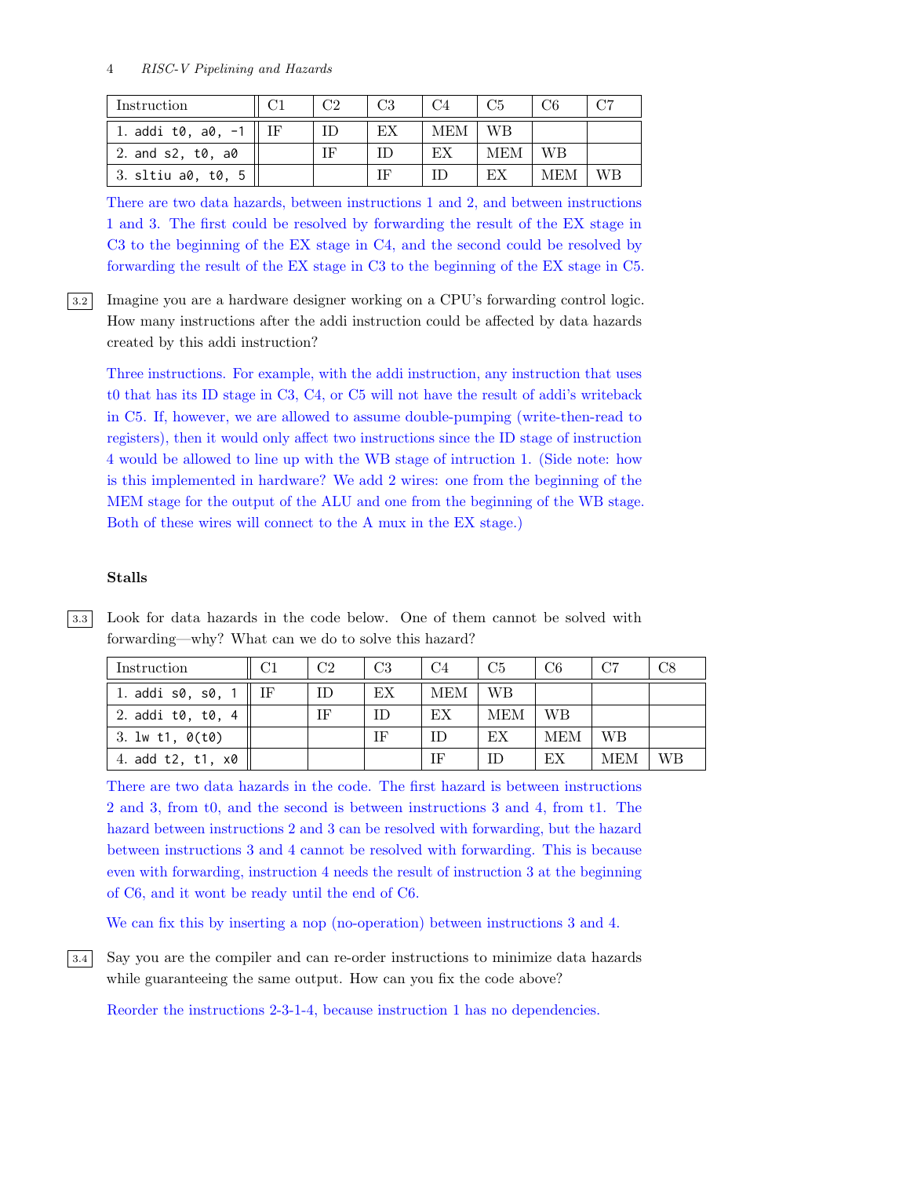| Instruction          | د∘∩ | CЗ | C4  | C5  |     | C7 |
|----------------------|-----|----|-----|-----|-----|----|
| 1. addi t0, $a0, -1$ | ΙD  | EX | MEM | WВ  |     |    |
| 2. and s2, t0, a0    | IF  |    | EX  | МЕМ | WВ  |    |
| 3. sltiu a0, t0, 5   |     | ΙF |     | EX  | MEM | WВ |

There are two data hazards, between instructions 1 and 2, and between instructions 1 and 3. The first could be resolved by forwarding the result of the EX stage in C3 to the beginning of the EX stage in C4, and the second could be resolved by forwarding the result of the EX stage in C3 to the beginning of the EX stage in C5.

3.2 Imagine you are a hardware designer working on a CPU's forwarding control logic. How many instructions after the addi instruction could be affected by data hazards created by this addi instruction?

Three instructions. For example, with the addi instruction, any instruction that uses t0 that has its ID stage in C3, C4, or C5 will not have the result of addi's writeback in C5. If, however, we are allowed to assume double-pumping (write-then-read to registers), then it would only affect two instructions since the ID stage of instruction 4 would be allowed to line up with the WB stage of intruction 1. (Side note: how is this implemented in hardware? We add 2 wires: one from the beginning of the MEM stage for the output of the ALU and one from the beginning of the WB stage. Both of these wires will connect to the A mux in the EX stage.)

#### Stalls

| 3.3 Look for data hazards in the code below. One of them cannot be solved with |  |
|--------------------------------------------------------------------------------|--|
| forwarding—why? What can we do to solve this hazard?                           |  |

| Instruction         | C1 | C <sub>2</sub> | C <sub>3</sub> | C <sub>4</sub> | C <sub>5</sub> | C <sub>6</sub> | C7         | C8        |
|---------------------|----|----------------|----------------|----------------|----------------|----------------|------------|-----------|
| 1. addi s0, s0, 1   |    | ID             | EX             | MEM            | - WB           |                |            |           |
| 2. addi t0, t0, 4   |    | ΙF             | ID             | EX             | <b>MEM</b>     | WΒ             |            |           |
| 3. $1w$ t1, $0(t0)$ |    |                | ΙF             |                | ЕX             | <b>MEM</b>     | WВ         |           |
| 4. add t2, t1, x0   |    |                |                |                | IΕ             | ЕX             | <b>MEM</b> | <b>WB</b> |

There are two data hazards in the code. The first hazard is between instructions 2 and 3, from t0, and the second is between instructions 3 and 4, from t1. The hazard between instructions 2 and 3 can be resolved with forwarding, but the hazard between instructions 3 and 4 cannot be resolved with forwarding. This is because even with forwarding, instruction 4 needs the result of instruction 3 at the beginning of C6, and it wont be ready until the end of C6.

We can fix this by inserting a nop (no-operation) between instructions 3 and 4.

3.4 Say you are the compiler and can re-order instructions to minimize data hazards while guaranteeing the same output. How can you fix the code above?

Reorder the instructions 2-3-1-4, because instruction 1 has no dependencies.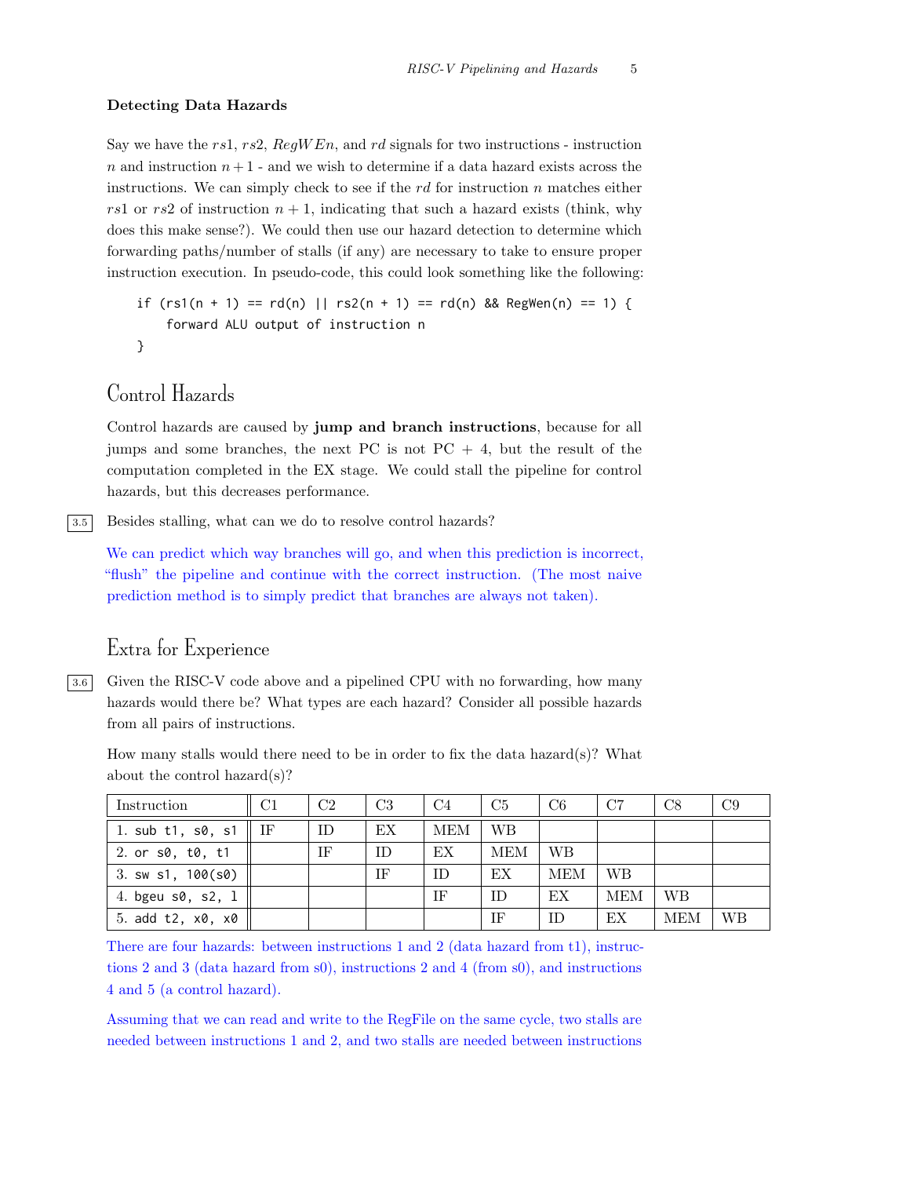#### Detecting Data Hazards

Say we have the rs1, rs2,  $\text{Re} qW \text{E} n$ , and rd signals for two instructions - instruction  $n$  and instruction  $n + 1$  - and we wish to determine if a data hazard exists across the instructions. We can simply check to see if the  $rd$  for instruction n matches either rs1 or rs2 of instruction  $n + 1$ , indicating that such a hazard exists (think, why does this make sense?). We could then use our hazard detection to determine which forwarding paths/number of stalls (if any) are necessary to take to ensure proper instruction execution. In pseudo-code, this could look something like the following:

```
if (rs1(n + 1) == rd(n) || rs2(n + 1) == rd(n) && Reg Wen(n) == 1)forward ALU output of instruction n
```

```
}
```
### Control Hazards

Control hazards are caused by jump and branch instructions, because for all jumps and some branches, the next PC is not  $PC + 4$ , but the result of the computation completed in the EX stage. We could stall the pipeline for control hazards, but this decreases performance.

3.5 Besides stalling, what can we do to resolve control hazards?

We can predict which way branches will go, and when this prediction is incorrect, "flush" the pipeline and continue with the correct instruction. (The most naive prediction method is to simply predict that branches are always not taken).

## Extra for Experience

3.6 Given the RISC-V code above and a pipelined CPU with no forwarding, how many hazards would there be? What types are each hazard? Consider all possible hazards from all pairs of instructions.

How many stalls would there need to be in order to fix the data hazard(s)? What about the control hazard(s)?

| Instruction             | C1 | C <sub>2</sub> | C <sub>3</sub> | C <sub>4</sub> | C5  | C <sub>6</sub> | C7         | C8         | C <sub>9</sub> |
|-------------------------|----|----------------|----------------|----------------|-----|----------------|------------|------------|----------------|
| 1. sub t1, s0, s1       | IF | ID.            | EX             | MEM            | WB  |                |            |            |                |
| 2. or s0, t0, t1        |    | ΙF             | ID             | EX             | MEM | <b>WB</b>      |            |            |                |
| 3. sw s1, $100(s0)$     |    |                | ΙF             | ID             | EX  | <b>MEM</b>     | WB         |            |                |
| 4. bgeu $s0$ , $s2$ , 1 |    |                |                | ΙF             | ID  | EX             | <b>MEM</b> | <b>WB</b>  |                |
| 5. add t2, x0, x0       |    |                |                |                | ΙF  | ΙD             | EX         | <b>MEM</b> | WΒ             |

There are four hazards: between instructions 1 and 2 (data hazard from t1), instructions 2 and 3 (data hazard from s0), instructions 2 and 4 (from s0), and instructions 4 and 5 (a control hazard).

Assuming that we can read and write to the RegFile on the same cycle, two stalls are needed between instructions 1 and 2, and two stalls are needed between instructions